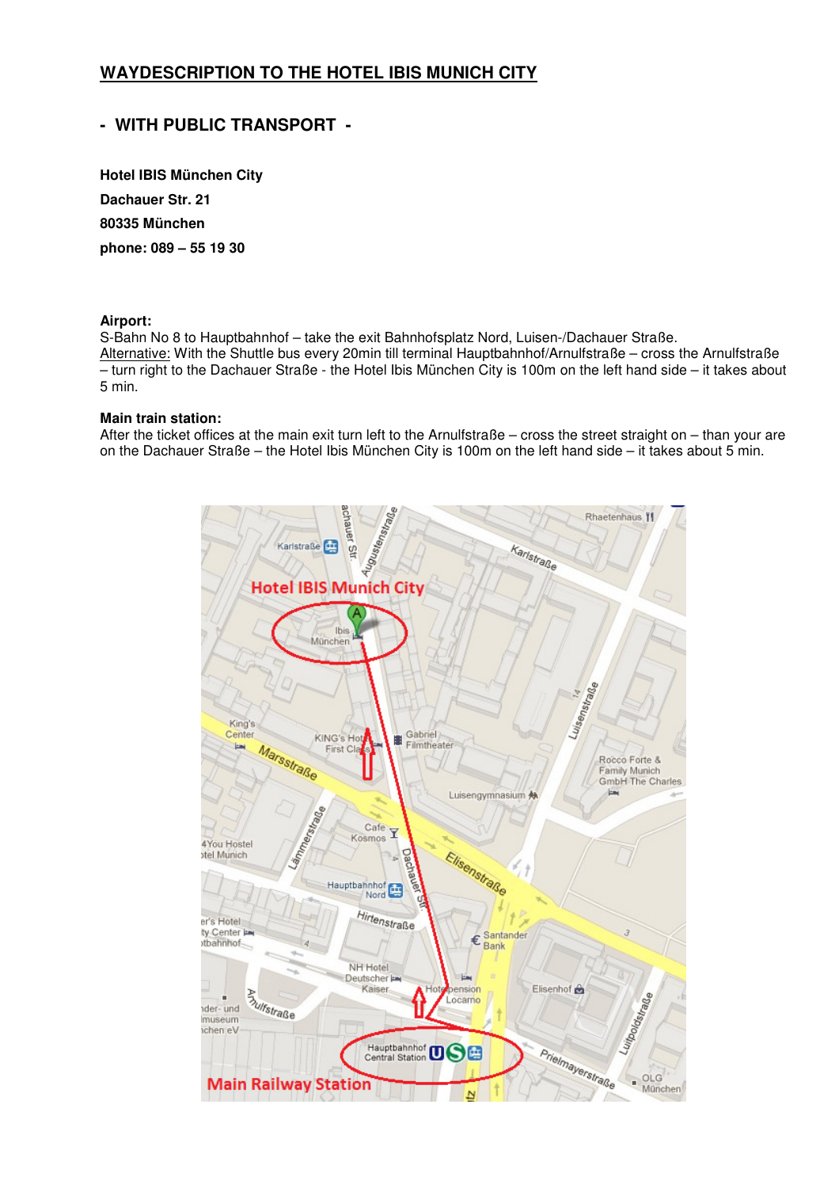# **WAYDESCRIPTION TO THE HOTEL IBIS MUNICH CITY**

# **- WITH PUBLIC TRANSPORT -**

**Hotel IBIS München City Dachauer Str. 21 80335 München phone: 089 – 55 19 30** 

#### **Airport:**

S-Bahn No 8 to Hauptbahnhof – take the exit Bahnhofsplatz Nord, Luisen-/Dachauer Straße. Alternative: With the Shuttle bus every 20min till terminal Hauptbahnhof/Arnulfstraße – cross the Arnulfstraße – turn right to the Dachauer Straße - the Hotel Ibis München City is 100m on the left hand side – it takes about 5 min.

### **Main train station:**

After the ticket offices at the main exit turn left to the Arnulfstraße – cross the street straight on – than your are on the Dachauer Straße – the Hotel Ibis München City is 100m on the left hand side – it takes about 5 min.